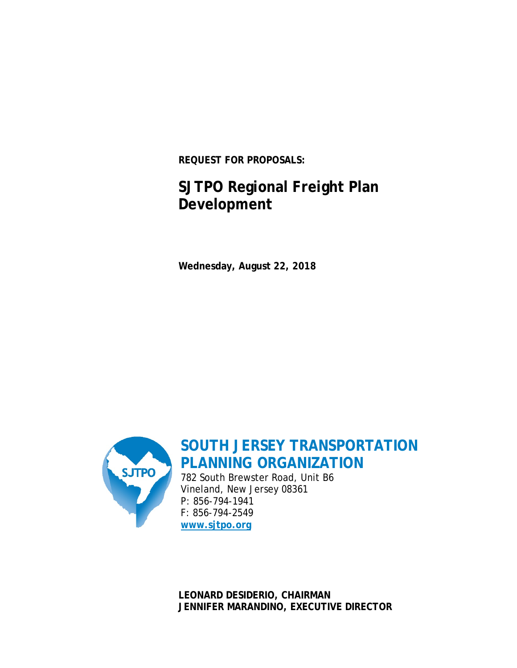**REQUEST FOR PROPOSALS:**

# **SJTPO Regional Freight Plan Development**

**Wednesday, August 22, 2018**



**SOUTH JERSEY TRANSPORTATION PLANNING ORGANIZATION**

782 South Brewster Road, Unit B6 Vineland, New Jersey 08361 P: 856-794-1941 F: 856-794-2549 **[www.sjtpo.org](http://www.sjtpo.org/)**

**LEONARD DESIDERIO, CHAIRMAN JENNIFER MARANDINO, EXECUTIVE DIRECTOR**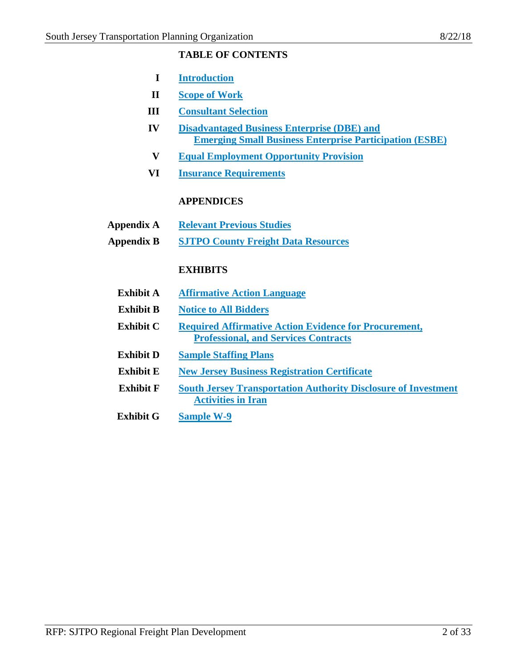# **TABLE OF CONTENTS**

- **I Introduction**
- **II Scope of Work**
- **III Consultant Selection**
- **IV Disadvantaged Business Enterprise (DBE) and Emerging Small Business Enterprise Participation (ESBE)**
- **V Equal Employment Opportunity Provision**
- **VI Insurance Requirements**

# **APPENDICES**

- **Appendix A Relevant Previous Studies**
- **Appendix B SJTPO County Freight Data Resources**

# **EXHIBITS**

- **Exhibit A Affirmative Action Language**
- **Exhibit B Notice to All Bidders**
- **Exhibit C Required Affirmative Action Evidence for Procurement, Professional, and Services Contracts**
- **Exhibit D Sample Staffing Plans**
- **Exhibit E New Jersey Business Registration Certificate**
- **Exhibit F South Jersey Transportation Authority Disclosure of Investment Activities in Iran**
- **Exhibit G Sample W-9**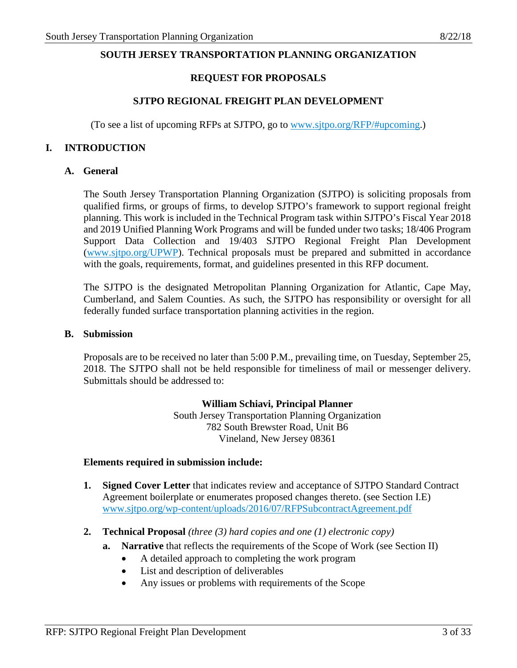### **SOUTH JERSEY TRANSPORTATION PLANNING ORGANIZATION**

### **REQUEST FOR PROPOSALS**

### **SJTPO REGIONAL FREIGHT PLAN DEVELOPMENT**

(To see a list of upcoming RFPs at SJTPO, go to [www.sjtpo.org/RFP/#upcoming.](http://sjtpo.org/RFP/#upcoming))

### **I. INTRODUCTION**

#### **A. General**

The South Jersey Transportation Planning Organization (SJTPO) is soliciting proposals from qualified firms, or groups of firms, to develop SJTPO's framework to support regional freight planning. This work is included in the Technical Program task within SJTPO's Fiscal Year 2018 and 2019 Unified Planning Work Programs and will be funded under two tasks; 18/406 Program Support Data Collection and 19/403 SJTPO Regional Freight Plan Development [\(www.sjtpo.org/UPWP\)](http://www.sjtpo.org/UPWP). Technical proposals must be prepared and submitted in accordance with the goals, requirements, format, and guidelines presented in this RFP document.

The SJTPO is the designated Metropolitan Planning Organization for Atlantic, Cape May, Cumberland, and Salem Counties. As such, the SJTPO has responsibility or oversight for all federally funded surface transportation planning activities in the region.

### **B. Submission**

Proposals are to be received no later than 5:00 P.M., prevailing time, on Tuesday, September 25, 2018. The SJTPO shall not be held responsible for timeliness of mail or messenger delivery. Submittals should be addressed to:

#### **William Schiavi, Principal Planner**

South Jersey Transportation Planning Organization 782 South Brewster Road, Unit B6 Vineland, New Jersey 08361

#### **Elements required in submission include:**

- **1. Signed Cover Letter** that indicates review and acceptance of SJTPO Standard Contract Agreement boilerplate or enumerates proposed changes thereto. (see Section I.E) [www.sjtpo.org/wp-content/uploads/2016/07/RFPSubcontractAgreement.pdf](http://www.sjtpo.org/wp-content/uploads/2016/07/RFPSubcontractAgreement.pdf)
- **2. Technical Proposal** *(three (3) hard copies and one (1) electronic copy)*
	- **a. Narrative** that reflects the requirements of the Scope of Work (see Section II)
		- A detailed approach to completing the work program
		- List and description of deliverables
		- Any issues or problems with requirements of the Scope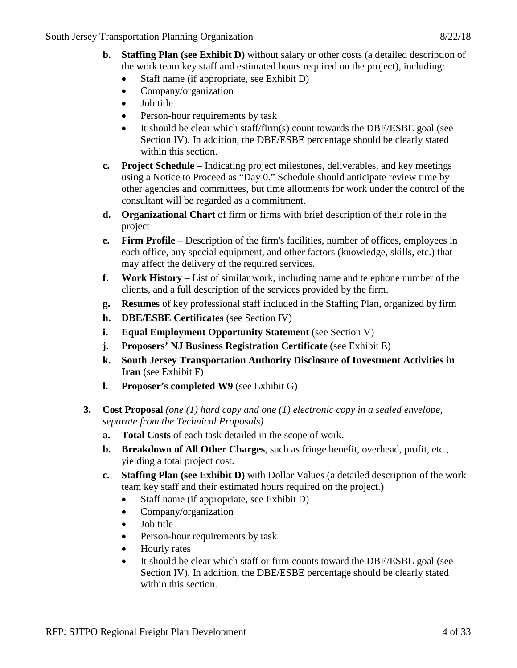- **b. Staffing Plan (see Exhibit D)** without salary or other costs (a detailed description of the work team key staff and estimated hours required on the project), including:
	- Staff name (if appropriate, see Exhibit D)
	- Company/organization
	- Job title
	- Person-hour requirements by task
	- It should be clear which staff/firm(s) count towards the DBE/ESBE goal (see Section IV). In addition, the DBE/ESBE percentage should be clearly stated within this section.
- **c. Project Schedule** Indicating project milestones, deliverables, and key meetings using a Notice to Proceed as "Day 0." Schedule should anticipate review time by other agencies and committees, but time allotments for work under the control of the consultant will be regarded as a commitment.
- **d. Organizational Chart** of firm or firms with brief description of their role in the project
- **e. Firm Profile** Description of the firm's facilities, number of offices, employees in each office, any special equipment, and other factors (knowledge, skills, etc.) that may affect the delivery of the required services.
- **f. Work History** List of similar work, including name and telephone number of the clients, and a full description of the services provided by the firm.
- **g. Resumes** of key professional staff included in the Staffing Plan, organized by firm
- **h. DBE/ESBE Certificates** (see Section IV)
- **i. Equal Employment Opportunity Statement** (see Section V)
- **j. Proposers' NJ Business Registration Certificate** (see Exhibit E)
- **k. South Jersey Transportation Authority Disclosure of Investment Activities in Iran** (see Exhibit F)
- **l. Proposer's completed W9** (see Exhibit G)
- **3. Cost Proposal** *(one (1) hard copy and one (1) electronic copy in a sealed envelope, separate from the Technical Proposals)*
	- **a. Total Costs** of each task detailed in the scope of work.
	- **b. Breakdown of All Other Charges**, such as fringe benefit, overhead, profit, etc., yielding a total project cost.
	- **c. Staffing Plan (see Exhibit D)** with Dollar Values (a detailed description of the work team key staff and their estimated hours required on the project.)
		- Staff name (if appropriate, see Exhibit D)
		- Company/organization
		- Job title
		- Person-hour requirements by task
		- Hourly rates
		- It should be clear which staff or firm counts toward the DBE/ESBE goal (see Section IV). In addition, the DBE/ESBE percentage should be clearly stated within this section.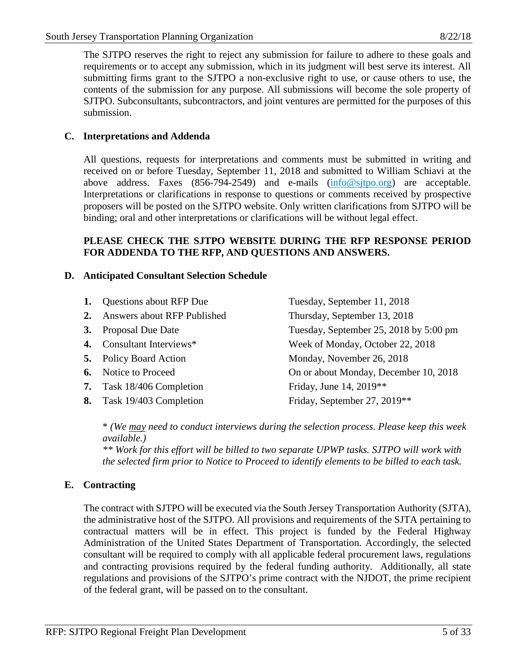The SJTPO reserves the right to reject any submission for failure to adhere to these goals and requirements or to accept any submission, which in its judgment will best serve its interest. All submitting firms grant to the SJTPO a non-exclusive right to use, or cause others to use, the contents of the submission for any purpose. All submissions will become the sole property of SJTPO. Subconsultants, subcontractors, and joint ventures are permitted for the purposes of this submission.

# **C. Interpretations and Addenda**

All questions, requests for interpretations and comments must be submitted in writing and received on or before Tuesday, September 11, 2018 and submitted to William Schiavi at the above address. Faxes (856-794-2549) and e-mails [\(info@sjtpo.org\)](mailto:info@sjtpo.org) are acceptable. Interpretations or clarifications in response to questions or comments received by prospective proposers will be posted on the SJTPO website. Only written clarifications from SJTPO will be binding; oral and other interpretations or clarifications will be without legal effect.

### **PLEASE CHECK THE SJTPO WEBSITE DURING THE RFP RESPONSE PERIOD FOR ADDENDA TO THE RFP, AND QUESTIONS AND ANSWERS.**

# **D. Anticipated Consultant Selection Schedule**

|    | 1. Questions about RFP Due     | Tuesday, September 11, 2018            |
|----|--------------------------------|----------------------------------------|
|    | 2. Answers about RFP Published | Thursday, September 13, 2018           |
| 3. | <b>Proposal Due Date</b>       | Tuesday, September 25, 2018 by 5:00 pm |
|    | 4. Consultant Interviews*      | Week of Monday, October 22, 2018       |
|    | <b>5.</b> Policy Board Action  | Monday, November 26, 2018              |
|    | <b>6.</b> Notice to Proceed    | On or about Monday, December 10, 2018  |
|    | 7. Task 18/406 Completion      | Friday, June 14, 2019**                |
| 8. | Task 19/403 Completion         | Friday, September 27, 2019**           |

\* *(We may need to conduct interviews during the selection process. Please keep this week available.)*

*\*\* Work for this effort will be billed to two separate UPWP tasks. SJTPO will work with the selected firm prior to Notice to Proceed to identify elements to be billed to each task.*

# **E. Contracting**

The contract with SJTPO will be executed via the South Jersey Transportation Authority (SJTA), the administrative host of the SJTPO. All provisions and requirements of the SJTA pertaining to contractual matters will be in effect. This project is funded by the Federal Highway Administration of the United States Department of Transportation. Accordingly, the selected consultant will be required to comply with all applicable federal procurement laws, regulations and contracting provisions required by the federal funding authority. Additionally, all state regulations and provisions of the SJTPO's prime contract with the NJDOT, the prime recipient of the federal grant, will be passed on to the consultant.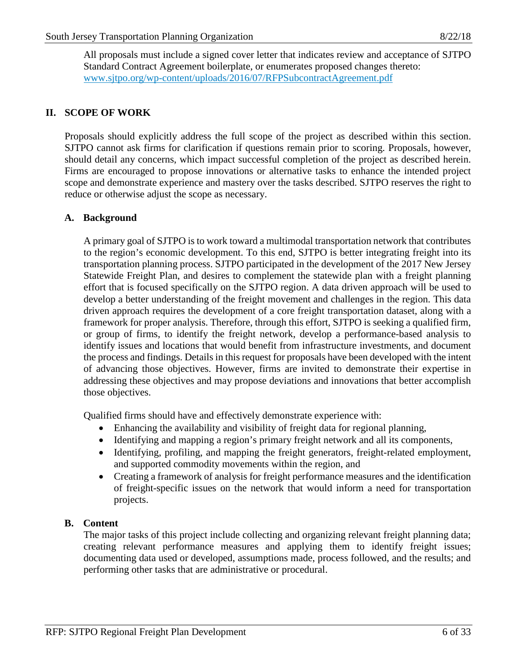All proposals must include a signed cover letter that indicates review and acceptance of SJTPO Standard Contract Agreement boilerplate, or enumerates proposed changes thereto: [www.sjtpo.org/wp-content/uploads/2016/07/RFPSubcontractAgreement.pdf](http://www.sjtpo.org/wp-content/uploads/2016/07/RFPSubcontractAgreement.pdf)

# **II. SCOPE OF WORK**

Proposals should explicitly address the full scope of the project as described within this section. SJTPO cannot ask firms for clarification if questions remain prior to scoring. Proposals, however, should detail any concerns, which impact successful completion of the project as described herein. Firms are encouraged to propose innovations or alternative tasks to enhance the intended project scope and demonstrate experience and mastery over the tasks described. SJTPO reserves the right to reduce or otherwise adjust the scope as necessary.

# **A. Background**

A primary goal of SJTPO is to work toward a multimodal transportation network that contributes to the region's economic development. To this end, SJTPO is better integrating freight into its transportation planning process. SJTPO participated in the development of the 2017 New Jersey Statewide Freight Plan, and desires to complement the statewide plan with a freight planning effort that is focused specifically on the SJTPO region. A data driven approach will be used to develop a better understanding of the freight movement and challenges in the region. This data driven approach requires the development of a core freight transportation dataset, along with a framework for proper analysis. Therefore, through this effort, SJTPO is seeking a qualified firm, or group of firms, to identify the freight network, develop a performance-based analysis to identify issues and locations that would benefit from infrastructure investments, and document the process and findings. Details in this request for proposals have been developed with the intent of advancing those objectives. However, firms are invited to demonstrate their expertise in addressing these objectives and may propose deviations and innovations that better accomplish those objectives.

Qualified firms should have and effectively demonstrate experience with:

- Enhancing the availability and visibility of freight data for regional planning,
- Identifying and mapping a region's primary freight network and all its components,
- Identifying, profiling, and mapping the freight generators, freight-related employment, and supported commodity movements within the region, and
- Creating a framework of analysis for freight performance measures and the identification of freight-specific issues on the network that would inform a need for transportation projects.

# **B. Content**

The major tasks of this project include collecting and organizing relevant freight planning data; creating relevant performance measures and applying them to identify freight issues; documenting data used or developed, assumptions made, process followed, and the results; and performing other tasks that are administrative or procedural.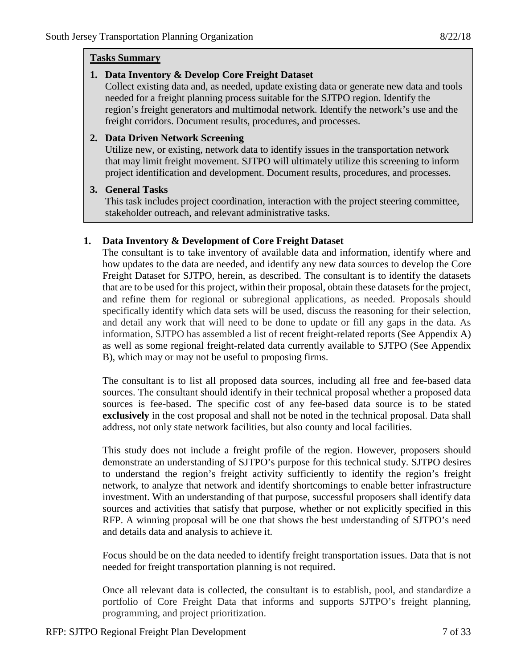# **Tasks Summary**

# **1. Data Inventory & Develop Core Freight Dataset**

Collect existing data and, as needed, update existing data or generate new data and tools needed for a freight planning process suitable for the SJTPO region. Identify the region's freight generators and multimodal network. Identify the network's use and the freight corridors. Document results, procedures, and processes.

# **2. Data Driven Network Screening**

Utilize new, or existing, network data to identify issues in the transportation network that may limit freight movement. SJTPO will ultimately utilize this screening to inform project identification and development. Document results, procedures, and processes.

# **3. General Tasks**

This task includes project coordination, interaction with the project steering committee, stakeholder outreach, and relevant administrative tasks.

# **1. Data Inventory & Development of Core Freight Dataset**

The consultant is to take inventory of available data and information, identify where and how updates to the data are needed, and identify any new data sources to develop the Core Freight Dataset for SJTPO, herein, as described. The consultant is to identify the datasets that are to be used for this project, within their proposal, obtain these datasets for the project, and refine them for regional or subregional applications, as needed. Proposals should specifically identify which data sets will be used, discuss the reasoning for their selection, and detail any work that will need to be done to update or fill any gaps in the data. As information, SJTPO has assembled a list of recent freight-related reports (See Appendix A) as well as some regional freight-related data currently available to SJTPO (See Appendix B), which may or may not be useful to proposing firms.

The consultant is to list all proposed data sources, including all free and fee-based data sources. The consultant should identify in their technical proposal whether a proposed data sources is fee-based. The specific cost of any fee-based data source is to be stated **exclusively** in the cost proposal and shall not be noted in the technical proposal. Data shall address, not only state network facilities, but also county and local facilities.

This study does not include a freight profile of the region. However, proposers should demonstrate an understanding of SJTPO's purpose for this technical study. SJTPO desires to understand the region's freight activity sufficiently to identify the region's freight network, to analyze that network and identify shortcomings to enable better infrastructure investment. With an understanding of that purpose, successful proposers shall identify data sources and activities that satisfy that purpose, whether or not explicitly specified in this RFP. A winning proposal will be one that shows the best understanding of SJTPO's need and details data and analysis to achieve it.

Focus should be on the data needed to identify freight transportation issues. Data that is not needed for freight transportation planning is not required.

Once all relevant data is collected, the consultant is to establish, pool, and standardize a portfolio of Core Freight Data that informs and supports SJTPO's freight planning, programming, and project prioritization.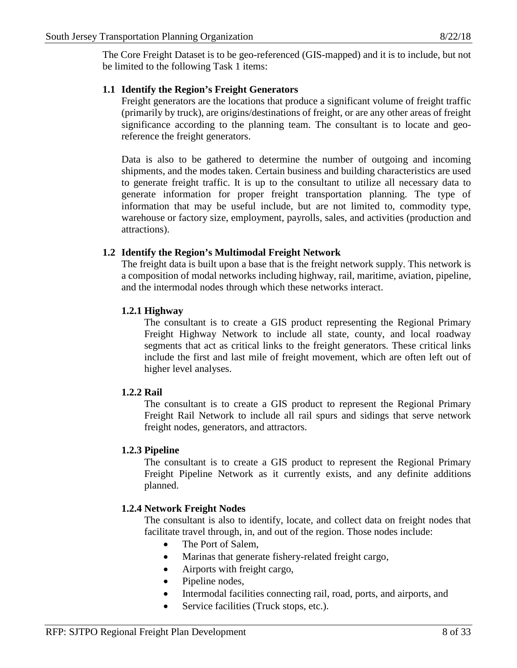The Core Freight Dataset is to be geo-referenced (GIS-mapped) and it is to include, but not be limited to the following Task 1 items:

# **1.1 Identify the Region's Freight Generators**

Freight generators are the locations that produce a significant volume of freight traffic (primarily by truck), are origins/destinations of freight, or are any other areas of freight significance according to the planning team. The consultant is to locate and georeference the freight generators.

Data is also to be gathered to determine the number of outgoing and incoming shipments, and the modes taken. Certain business and building characteristics are used to generate freight traffic. It is up to the consultant to utilize all necessary data to generate information for proper freight transportation planning. The type of information that may be useful include, but are not limited to, commodity type, warehouse or factory size, employment, payrolls, sales, and activities (production and attractions).

# **1.2 Identify the Region's Multimodal Freight Network**

The freight data is built upon a base that is the freight network supply. This network is a composition of modal networks including highway, rail, maritime, aviation, pipeline, and the intermodal nodes through which these networks interact.

# **1.2.1 Highway**

The consultant is to create a GIS product representing the Regional Primary Freight Highway Network to include all state, county, and local roadway segments that act as critical links to the freight generators. These critical links include the first and last mile of freight movement, which are often left out of higher level analyses.

# **1.2.2 Rail**

The consultant is to create a GIS product to represent the Regional Primary Freight Rail Network to include all rail spurs and sidings that serve network freight nodes, generators, and attractors.

# **1.2.3 Pipeline**

The consultant is to create a GIS product to represent the Regional Primary Freight Pipeline Network as it currently exists, and any definite additions planned.

# **1.2.4 Network Freight Nodes**

The consultant is also to identify, locate, and collect data on freight nodes that facilitate travel through, in, and out of the region. Those nodes include:

- The Port of Salem,
- Marinas that generate fishery-related freight cargo,
- Airports with freight cargo,
- Pipeline nodes.
- Intermodal facilities connecting rail, road, ports, and airports, and
- Service facilities (Truck stops, etc.).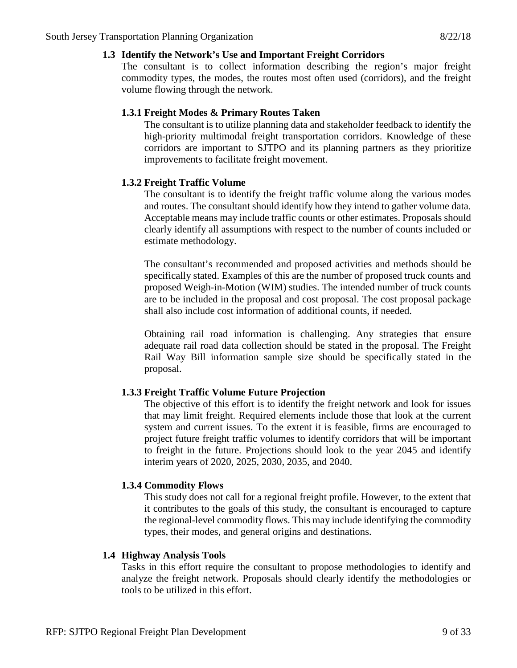### **1.3 Identify the Network's Use and Important Freight Corridors**

The consultant is to collect information describing the region's major freight commodity types, the modes, the routes most often used (corridors), and the freight volume flowing through the network.

# **1.3.1 Freight Modes & Primary Routes Taken**

The consultant is to utilize planning data and stakeholder feedback to identify the high-priority multimodal freight transportation corridors. Knowledge of these corridors are important to SJTPO and its planning partners as they prioritize improvements to facilitate freight movement.

# **1.3.2 Freight Traffic Volume**

The consultant is to identify the freight traffic volume along the various modes and routes. The consultant should identify how they intend to gather volume data. Acceptable means may include traffic counts or other estimates. Proposals should clearly identify all assumptions with respect to the number of counts included or estimate methodology.

The consultant's recommended and proposed activities and methods should be specifically stated. Examples of this are the number of proposed truck counts and proposed Weigh-in-Motion (WIM) studies. The intended number of truck counts are to be included in the proposal and cost proposal. The cost proposal package shall also include cost information of additional counts, if needed.

Obtaining rail road information is challenging. Any strategies that ensure adequate rail road data collection should be stated in the proposal. The Freight Rail Way Bill information sample size should be specifically stated in the proposal.

# **1.3.3 Freight Traffic Volume Future Projection**

The objective of this effort is to identify the freight network and look for issues that may limit freight. Required elements include those that look at the current system and current issues. To the extent it is feasible, firms are encouraged to project future freight traffic volumes to identify corridors that will be important to freight in the future. Projections should look to the year 2045 and identify interim years of 2020, 2025, 2030, 2035, and 2040.

# **1.3.4 Commodity Flows**

This study does not call for a regional freight profile. However, to the extent that it contributes to the goals of this study, the consultant is encouraged to capture the regional-level commodity flows. This may include identifying the commodity types, their modes, and general origins and destinations.

# **1.4 Highway Analysis Tools**

Tasks in this effort require the consultant to propose methodologies to identify and analyze the freight network. Proposals should clearly identify the methodologies or tools to be utilized in this effort.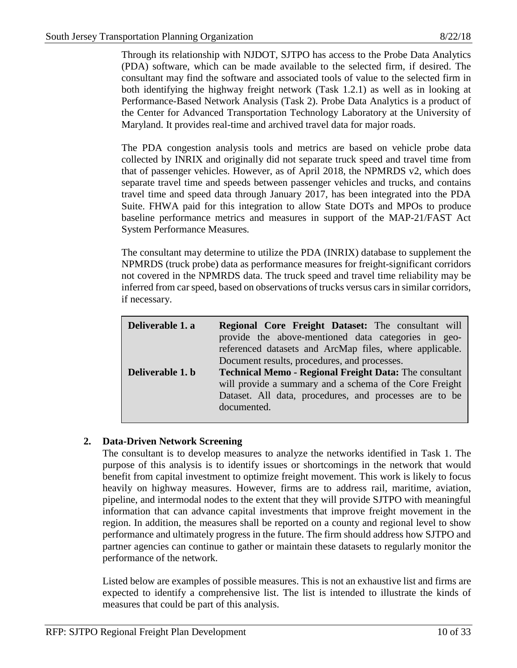Through its relationship with NJDOT, SJTPO has access to the Probe Data Analytics (PDA) software, which can be made available to the selected firm, if desired. The consultant may find the software and associated tools of value to the selected firm in both identifying the highway freight network (Task 1.2.1) as well as in looking at Performance-Based Network Analysis (Task 2). Probe Data Analytics is a product of the Center for Advanced Transportation Technology Laboratory at the University of Maryland. It provides real-time and archived travel data for major roads.

The PDA congestion analysis tools and metrics are based on vehicle probe data collected by INRIX and originally did not separate truck speed and travel time from that of passenger vehicles. However, as of April 2018, the NPMRDS v2, which does separate travel time and speeds between passenger vehicles and trucks, and contains travel time and speed data through January 2017, has been integrated into the PDA Suite. FHWA paid for this integration to allow State DOTs and MPOs to produce baseline performance metrics and measures in support of the MAP-21/FAST Act System Performance Measures*.*

The consultant may determine to utilize the PDA (INRIX) database to supplement the NPMRDS (truck probe) data as performance measures for freight-significant corridors not covered in the NPMRDS data. The truck speed and travel time reliability may be inferred from car speed, based on observations of trucks versus cars in similar corridors, if necessary.

| Deliverable 1. a | <b>Regional Core Freight Dataset:</b> The consultant will<br>provide the above-mentioned data categories in geo-<br>referenced datasets and ArcMap files, where applicable.<br>Document results, procedures, and processes. |
|------------------|-----------------------------------------------------------------------------------------------------------------------------------------------------------------------------------------------------------------------------|
| Deliverable 1. b | <b>Technical Memo - Regional Freight Data: The consultant</b><br>will provide a summary and a schema of the Core Freight<br>Dataset. All data, procedures, and processes are to be<br>documented.                           |

# **2. Data-Driven Network Screening**

The consultant is to develop measures to analyze the networks identified in Task 1. The purpose of this analysis is to identify issues or shortcomings in the network that would benefit from capital investment to optimize freight movement. This work is likely to focus heavily on highway measures. However, firms are to address rail, maritime, aviation, pipeline, and intermodal nodes to the extent that they will provide SJTPO with meaningful information that can advance capital investments that improve freight movement in the region. In addition, the measures shall be reported on a county and regional level to show performance and ultimately progress in the future. The firm should address how SJTPO and partner agencies can continue to gather or maintain these datasets to regularly monitor the performance of the network.

Listed below are examples of possible measures. This is not an exhaustive list and firms are expected to identify a comprehensive list. The list is intended to illustrate the kinds of measures that could be part of this analysis.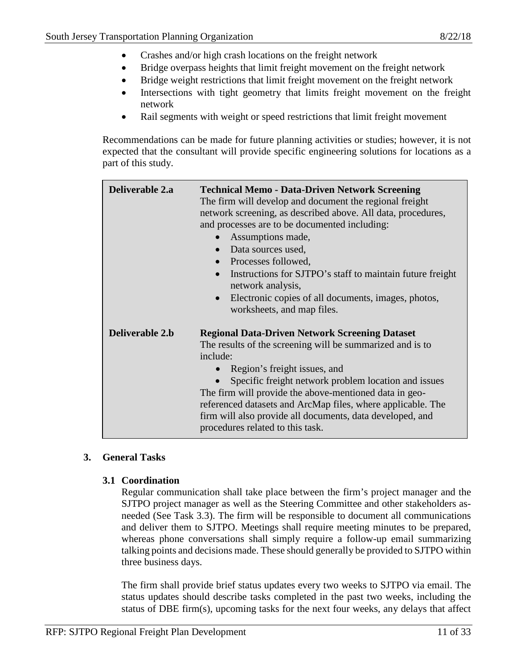- Crashes and/or high crash locations on the freight network
- Bridge overpass heights that limit freight movement on the freight network
- Bridge weight restrictions that limit freight movement on the freight network
- Intersections with tight geometry that limits freight movement on the freight network
- Rail segments with weight or speed restrictions that limit freight movement

Recommendations can be made for future planning activities or studies; however, it is not expected that the consultant will provide specific engineering solutions for locations as a part of this study.

| Deliverable 2.a | <b>Technical Memo - Data-Driven Network Screening</b><br>The firm will develop and document the regional freight<br>network screening, as described above. All data, procedures,<br>and processes are to be documented including:<br>Assumptions made,<br>$\bullet$<br>• Data sources used,<br>• Processes followed,<br>Instructions for SJTPO's staff to maintain future freight<br>network analysis,<br>Electronic copies of all documents, images, photos,<br>$\bullet$<br>worksheets, and map files. |
|-----------------|----------------------------------------------------------------------------------------------------------------------------------------------------------------------------------------------------------------------------------------------------------------------------------------------------------------------------------------------------------------------------------------------------------------------------------------------------------------------------------------------------------|
| Deliverable 2.b | <b>Regional Data-Driven Network Screening Dataset</b><br>The results of the screening will be summarized and is to<br>include:<br>Region's freight issues, and<br>Specific freight network problem location and issues<br>$\bullet$<br>The firm will provide the above-mentioned data in geo-<br>referenced datasets and ArcMap files, where applicable. The<br>firm will also provide all documents, data developed, and<br>procedures related to this task.                                            |

# **3. General Tasks**

# **3.1 Coordination**

Regular communication shall take place between the firm's project manager and the SJTPO project manager as well as the Steering Committee and other stakeholders asneeded (See Task 3.3). The firm will be responsible to document all communications and deliver them to SJTPO. Meetings shall require meeting minutes to be prepared, whereas phone conversations shall simply require a follow-up email summarizing talking points and decisions made. These should generally be provided to SJTPO within three business days.

The firm shall provide brief status updates every two weeks to SJTPO via email. The status updates should describe tasks completed in the past two weeks, including the status of DBE firm(s), upcoming tasks for the next four weeks, any delays that affect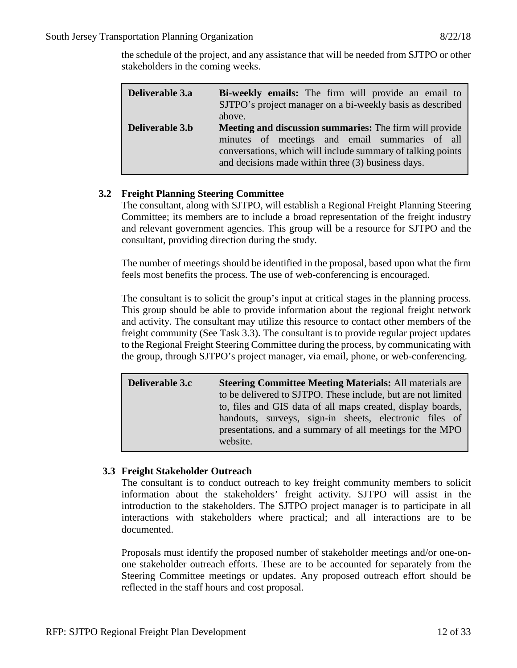the schedule of the project, and any assistance that will be needed from SJTPO or other stakeholders in the coming weeks.

| Deliverable 3.a | Bi-weekly emails: The firm will provide an email to<br>SJTPO's project manager on a bi-weekly basis as described<br>above.                                                                                                            |
|-----------------|---------------------------------------------------------------------------------------------------------------------------------------------------------------------------------------------------------------------------------------|
| Deliverable 3.b | <b>Meeting and discussion summaries:</b> The firm will provide<br>minutes of meetings and email summaries of all<br>conversations, which will include summary of talking points<br>and decisions made within three (3) business days. |

# **3.2 Freight Planning Steering Committee**

The consultant, along with SJTPO, will establish a Regional Freight Planning Steering Committee; its members are to include a broad representation of the freight industry and relevant government agencies. This group will be a resource for SJTPO and the consultant, providing direction during the study.

The number of meetings should be identified in the proposal, based upon what the firm feels most benefits the process. The use of web-conferencing is encouraged.

The consultant is to solicit the group's input at critical stages in the planning process. This group should be able to provide information about the regional freight network and activity. The consultant may utilize this resource to contact other members of the freight community (See Task 3.3). The consultant is to provide regular project updates to the Regional Freight Steering Committee during the process, by communicating with the group, through SJTPO's project manager, via email, phone, or web-conferencing.

| <b>Deliverable 3.c</b> | <b>Steering Committee Meeting Materials: All materials are</b> |
|------------------------|----------------------------------------------------------------|
|                        | to be delivered to SJTPO. These include, but are not limited   |
|                        | to, files and GIS data of all maps created, display boards,    |
|                        | handouts, surveys, sign-in sheets, electronic files of         |
|                        | presentations, and a summary of all meetings for the MPO       |
|                        | website.                                                       |

# **3.3 Freight Stakeholder Outreach**

The consultant is to conduct outreach to key freight community members to solicit information about the stakeholders' freight activity. SJTPO will assist in the introduction to the stakeholders. The SJTPO project manager is to participate in all interactions with stakeholders where practical; and all interactions are to be documented.

Proposals must identify the proposed number of stakeholder meetings and/or one-onone stakeholder outreach efforts. These are to be accounted for separately from the Steering Committee meetings or updates. Any proposed outreach effort should be reflected in the staff hours and cost proposal.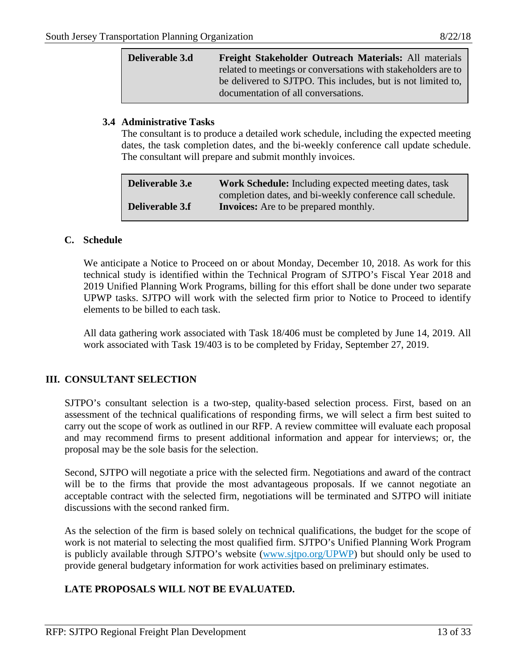| Deliverable 3.d | Freight Stakeholder Outreach Materials: All materials         |
|-----------------|---------------------------------------------------------------|
|                 | related to meetings or conversations with stakeholders are to |
|                 | be delivered to SJTPO. This includes, but is not limited to,  |
|                 | documentation of all conversations.                           |

### **3.4 Administrative Tasks**

The consultant is to produce a detailed work schedule, including the expected meeting dates, the task completion dates, and the bi-weekly conference call update schedule. The consultant will prepare and submit monthly invoices.

| <b>Deliverable 3.e</b> | <b>Work Schedule:</b> Including expected meeting dates, task |
|------------------------|--------------------------------------------------------------|
|                        | completion dates, and bi-weekly conference call schedule.    |
| <b>Deliverable 3.f</b> | <b>Invoices:</b> Are to be prepared monthly.                 |

#### **C. Schedule**

We anticipate a Notice to Proceed on or about Monday, December 10, 2018. As work for this technical study is identified within the Technical Program of SJTPO's Fiscal Year 2018 and 2019 Unified Planning Work Programs, billing for this effort shall be done under two separate UPWP tasks. SJTPO will work with the selected firm prior to Notice to Proceed to identify elements to be billed to each task.

All data gathering work associated with Task 18/406 must be completed by June 14, 2019. All work associated with Task 19/403 is to be completed by Friday, September 27, 2019.

# **III. CONSULTANT SELECTION**

SJTPO's consultant selection is a two-step, quality-based selection process. First, based on an assessment of the technical qualifications of responding firms, we will select a firm best suited to carry out the scope of work as outlined in our RFP. A review committee will evaluate each proposal and may recommend firms to present additional information and appear for interviews; or, the proposal may be the sole basis for the selection.

Second, SJTPO will negotiate a price with the selected firm. Negotiations and award of the contract will be to the firms that provide the most advantageous proposals. If we cannot negotiate an acceptable contract with the selected firm, negotiations will be terminated and SJTPO will initiate discussions with the second ranked firm.

As the selection of the firm is based solely on technical qualifications, the budget for the scope of work is not material to selecting the most qualified firm. SJTPO's Unified Planning Work Program is publicly available through SJTPO's website [\(www.sjtpo.org/UPWP\)](http://www.sjtpo.org/UPWP) but should only be used to provide general budgetary information for work activities based on preliminary estimates.

# **LATE PROPOSALS WILL NOT BE EVALUATED.**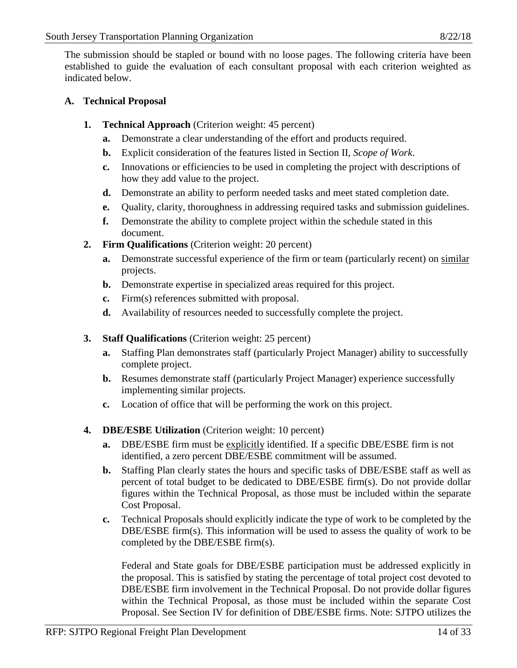The submission should be stapled or bound with no loose pages. The following criteria have been established to guide the evaluation of each consultant proposal with each criterion weighted as indicated below.

# **A. Technical Proposal**

- **1. Technical Approach** (Criterion weight: 45 percent)
	- **a.** Demonstrate a clear understanding of the effort and products required.
	- **b.** Explicit consideration of the features listed in Section II, *Scope of Work*.
	- **c.** Innovations or efficiencies to be used in completing the project with descriptions of how they add value to the project.
	- **d.** Demonstrate an ability to perform needed tasks and meet stated completion date.
	- **e.** Quality, clarity, thoroughness in addressing required tasks and submission guidelines.
	- **f.** Demonstrate the ability to complete project within the schedule stated in this document.
- **2. Firm Qualifications** (Criterion weight: 20 percent)
	- **a.** Demonstrate successful experience of the firm or team (particularly recent) on similar projects.
	- **b.** Demonstrate expertise in specialized areas required for this project.
	- **c.** Firm(s) references submitted with proposal.
	- **d.** Availability of resources needed to successfully complete the project.
- **3. Staff Qualifications** (Criterion weight: 25 percent)
	- **a.** Staffing Plan demonstrates staff (particularly Project Manager) ability to successfully complete project.
	- **b.** Resumes demonstrate staff (particularly Project Manager) experience successfully implementing similar projects.
	- **c.** Location of office that will be performing the work on this project.
- **4. DBE/ESBE Utilization** (Criterion weight: 10 percent)
	- **a.** DBE/ESBE firm must be explicitly identified. If a specific DBE/ESBE firm is not identified, a zero percent DBE/ESBE commitment will be assumed.
	- **b.** Staffing Plan clearly states the hours and specific tasks of DBE/ESBE staff as well as percent of total budget to be dedicated to DBE/ESBE firm(s). Do not provide dollar figures within the Technical Proposal, as those must be included within the separate Cost Proposal.
	- **c.** Technical Proposals should explicitly indicate the type of work to be completed by the DBE/ESBE firm(s). This information will be used to assess the quality of work to be completed by the DBE/ESBE firm(s).

Federal and State goals for DBE/ESBE participation must be addressed explicitly in the proposal. This is satisfied by stating the percentage of total project cost devoted to DBE/ESBE firm involvement in the Technical Proposal. Do not provide dollar figures within the Technical Proposal, as those must be included within the separate Cost Proposal. See Section IV for definition of DBE/ESBE firms. Note: SJTPO utilizes the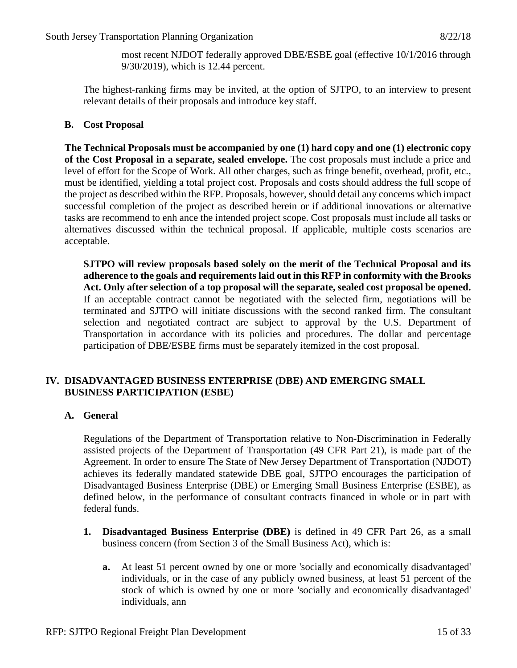most recent NJDOT federally approved DBE/ESBE goal (effective 10/1/2016 through 9/30/2019), which is 12.44 percent.

The highest-ranking firms may be invited, at the option of SJTPO, to an interview to present relevant details of their proposals and introduce key staff.

# **B. Cost Proposal**

**The Technical Proposals must be accompanied by one (1) hard copy and one (1) electronic copy of the Cost Proposal in a separate, sealed envelope.** The cost proposals must include a price and level of effort for the Scope of Work. All other charges, such as fringe benefit, overhead, profit, etc., must be identified, yielding a total project cost. Proposals and costs should address the full scope of the project as described within the RFP. Proposals, however, should detail any concerns which impact successful completion of the project as described herein or if additional innovations or alternative tasks are recommend to enh ance the intended project scope. Cost proposals must include all tasks or alternatives discussed within the technical proposal. If applicable, multiple costs scenarios are acceptable.

**SJTPO will review proposals based solely on the merit of the Technical Proposal and its adherence to the goals and requirements laid out in this RFP in conformity with the Brooks Act. Only after selection of a top proposal will the separate, sealed cost proposal be opened.** If an acceptable contract cannot be negotiated with the selected firm, negotiations will be terminated and SJTPO will initiate discussions with the second ranked firm. The consultant selection and negotiated contract are subject to approval by the U.S. Department of Transportation in accordance with its policies and procedures. The dollar and percentage participation of DBE/ESBE firms must be separately itemized in the cost proposal.

# **IV. DISADVANTAGED BUSINESS ENTERPRISE (DBE) AND EMERGING SMALL BUSINESS PARTICIPATION (ESBE)**

# **A. General**

Regulations of the Department of Transportation relative to Non-Discrimination in Federally assisted projects of the Department of Transportation (49 CFR Part 21), is made part of the Agreement. In order to ensure The State of New Jersey Department of Transportation (NJDOT) achieves its federally mandated statewide DBE goal, SJTPO encourages the participation of Disadvantaged Business Enterprise (DBE) or Emerging Small Business Enterprise (ESBE), as defined below, in the performance of consultant contracts financed in whole or in part with federal funds.

- **1. Disadvantaged Business Enterprise (DBE)** is defined in 49 CFR Part 26, as a small business concern (from Section 3 of the Small Business Act), which is:
	- **a.** At least 51 percent owned by one or more 'socially and economically disadvantaged' individuals, or in the case of any publicly owned business, at least 51 percent of the stock of which is owned by one or more 'socially and economically disadvantaged' individuals, ann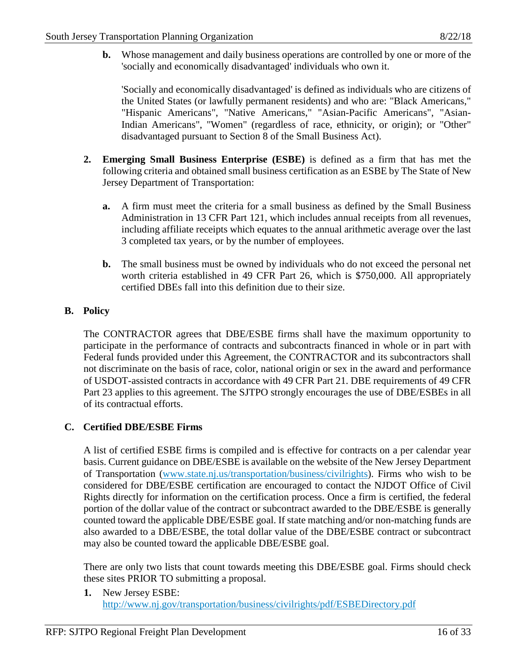**b.** Whose management and daily business operations are controlled by one or more of the 'socially and economically disadvantaged' individuals who own it.

'Socially and economically disadvantaged' is defined as individuals who are citizens of the United States (or lawfully permanent residents) and who are: "Black Americans," "Hispanic Americans", "Native Americans," "Asian-Pacific Americans", "Asian-Indian Americans", "Women" (regardless of race, ethnicity, or origin); or "Other" disadvantaged pursuant to Section 8 of the Small Business Act).

- **2. Emerging Small Business Enterprise (ESBE)** is defined as a firm that has met the following criteria and obtained small business certification as an ESBE by The State of New Jersey Department of Transportation:
	- **a.** A firm must meet the criteria for a small business as defined by the Small Business Administration in 13 CFR Part 121, which includes annual receipts from all revenues, including affiliate receipts which equates to the annual arithmetic average over the last 3 completed tax years, or by the number of employees.
	- **b.** The small business must be owned by individuals who do not exceed the personal net worth criteria established in 49 CFR Part 26, which is \$750,000. All appropriately certified DBEs fall into this definition due to their size.

# **B. Policy**

The CONTRACTOR agrees that DBE/ESBE firms shall have the maximum opportunity to participate in the performance of contracts and subcontracts financed in whole or in part with Federal funds provided under this Agreement, the CONTRACTOR and its subcontractors shall not discriminate on the basis of race, color, national origin or sex in the award and performance of USDOT-assisted contracts in accordance with 49 CFR Part 21. DBE requirements of 49 CFR Part 23 applies to this agreement. The SJTPO strongly encourages the use of DBE/ESBEs in all of its contractual efforts.

# **C. Certified DBE/ESBE Firms**

A list of certified ESBE firms is compiled and is effective for contracts on a per calendar year basis. Current guidance on DBE/ESBE is available on the website of the New Jersey Department of Transportation [\(www.state.nj.us/transportation/business/civilrights\)](http://www.state.nj.us/transportation/business/civilrights). Firms who wish to be considered for DBE/ESBE certification are encouraged to contact the NJDOT Office of Civil Rights directly for information on the certification process. Once a firm is certified, the federal portion of the dollar value of the contract or subcontract awarded to the DBE/ESBE is generally counted toward the applicable DBE/ESBE goal. If state matching and/or non-matching funds are also awarded to a DBE/ESBE, the total dollar value of the DBE/ESBE contract or subcontract may also be counted toward the applicable DBE/ESBE goal.

There are only two lists that count towards meeting this DBE/ESBE goal. Firms should check these sites PRIOR TO submitting a proposal.

**1.** New Jersey ESBE: <http://www.nj.gov/transportation/business/civilrights/pdf/ESBEDirectory.pdf>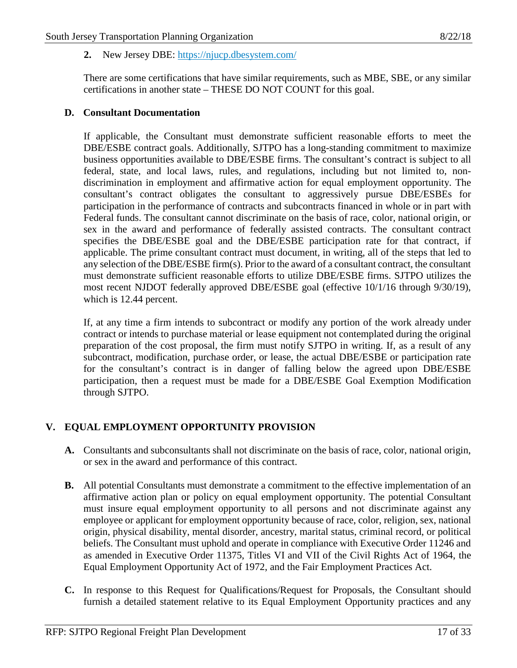# **2.** New Jersey DBE:<https://njucp.dbesystem.com/>

There are some certifications that have similar requirements, such as MBE, SBE, or any similar certifications in another state – THESE DO NOT COUNT for this goal.

### **D. Consultant Documentation**

If applicable, the Consultant must demonstrate sufficient reasonable efforts to meet the DBE/ESBE contract goals. Additionally, SJTPO has a long-standing commitment to maximize business opportunities available to DBE/ESBE firms. The consultant's contract is subject to all federal, state, and local laws, rules, and regulations, including but not limited to, nondiscrimination in employment and affirmative action for equal employment opportunity. The consultant's contract obligates the consultant to aggressively pursue DBE/ESBEs for participation in the performance of contracts and subcontracts financed in whole or in part with Federal funds. The consultant cannot discriminate on the basis of race, color, national origin, or sex in the award and performance of federally assisted contracts. The consultant contract specifies the DBE/ESBE goal and the DBE/ESBE participation rate for that contract, if applicable. The prime consultant contract must document, in writing, all of the steps that led to any selection of the DBE/ESBE firm(s). Prior to the award of a consultant contract, the consultant must demonstrate sufficient reasonable efforts to utilize DBE/ESBE firms. SJTPO utilizes the most recent NJDOT federally approved DBE/ESBE goal (effective 10/1/16 through 9/30/19), which is 12.44 percent.

If, at any time a firm intends to subcontract or modify any portion of the work already under contract or intends to purchase material or lease equipment not contemplated during the original preparation of the cost proposal, the firm must notify SJTPO in writing. If, as a result of any subcontract, modification, purchase order, or lease, the actual DBE/ESBE or participation rate for the consultant's contract is in danger of falling below the agreed upon DBE/ESBE participation, then a request must be made for a DBE/ESBE Goal Exemption Modification through SJTPO.

# **V. EQUAL EMPLOYMENT OPPORTUNITY PROVISION**

- **A.** Consultants and subconsultants shall not discriminate on the basis of race, color, national origin, or sex in the award and performance of this contract.
- **B.** All potential Consultants must demonstrate a commitment to the effective implementation of an affirmative action plan or policy on equal employment opportunity. The potential Consultant must insure equal employment opportunity to all persons and not discriminate against any employee or applicant for employment opportunity because of race, color, religion, sex, national origin, physical disability, mental disorder, ancestry, marital status, criminal record, or political beliefs. The Consultant must uphold and operate in compliance with Executive Order 11246 and as amended in Executive Order 11375, Titles VI and VII of the Civil Rights Act of 1964, the Equal Employment Opportunity Act of 1972, and the Fair Employment Practices Act.
- **C.** In response to this Request for Qualifications/Request for Proposals, the Consultant should furnish a detailed statement relative to its Equal Employment Opportunity practices and any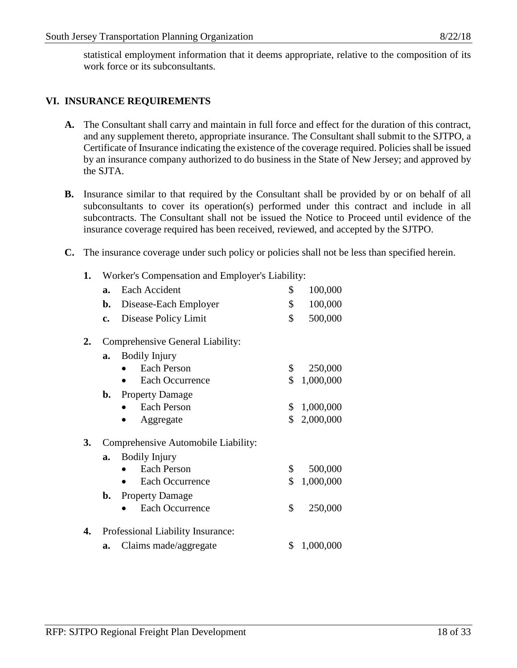statistical employment information that it deems appropriate, relative to the composition of its work force or its subconsultants.

# **VI. INSURANCE REQUIREMENTS**

- **A.** The Consultant shall carry and maintain in full force and effect for the duration of this contract, and any supplement thereto, appropriate insurance. The Consultant shall submit to the SJTPO, a Certificate of Insurance indicating the existence of the coverage required. Policies shall be issued by an insurance company authorized to do business in the State of New Jersey; and approved by the SJTA.
- **B.** Insurance similar to that required by the Consultant shall be provided by or on behalf of all subconsultants to cover its operation(s) performed under this contract and include in all subcontracts. The Consultant shall not be issued the Notice to Proceed until evidence of the insurance coverage required has been received, reviewed, and accepted by the SJTPO.
- **C.** The insurance coverage under such policy or policies shall not be less than specified herein.
	- **1.** Worker's Compensation and Employer's Liability: **a.** Each Accident \$ 100,000 **b.** Disease-Each Employer  $\qquad$  \$ 100,000 **c.** Disease Policy Limit  $\qquad$  \$ 500,000 **2.** Comprehensive General Liability: **a.** Bodily Injury • Each Person \$ 250,000 • Each Occurrence \$ 1,000,000 **b.** Property Damage • Each Person  $$ 1,000,000$ Aggregate \$ 2,000,000 **3.** Comprehensive Automobile Liability: **a.** Bodily Injury • Each Person \$ 500,000 • Each Occurrence \$ 1,000,000 **b.** Property Damage • Each Occurrence \$ 250,000 **4.** Professional Liability Insurance: **a.** Claims made/aggregate \$ 1,000,000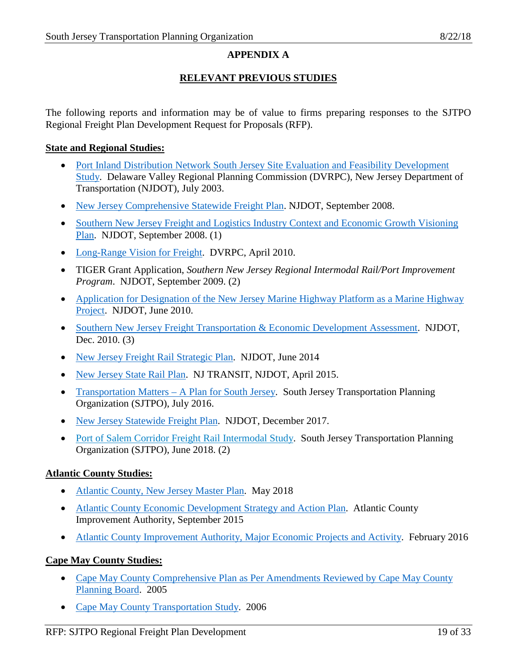# **APPENDIX A**

# **RELEVANT PREVIOUS STUDIES**

The following reports and information may be of value to firms preparing responses to the SJTPO Regional Freight Plan Development Request for Proposals (RFP).

### **State and Regional Studies:**

- [Port Inland Distribution Network South Jersey Site Evaluation and Feasibility Development](http://www.state.nj.us/transportation/airwater/maritime/pdf/sjpidnfinal.pdf)  [Study.](http://www.state.nj.us/transportation/airwater/maritime/pdf/sjpidnfinal.pdf) Delaware Valley Regional Planning Commission (DVRPC), New Jersey Department of Transportation (NJDOT), July 2003.
- [New Jersey Comprehensive Statewide Freight Plan.](http://www.state.nj.us/transportation/freight/plan/pdf/2007statewidefreightplansummary.pdf) NJDOT, September 2008.
- Southern New Jersey Freight and Logistics Industry Context and Economic Growth Visioning [Plan.](http://www.nj.gov/transportation/freight/plan/pdf/visioningplan090508.pdf) NJDOT, September 2008. (1)
- [Long-Range Vision for Freight.](https://www.dvrpc.org/reports/09058.pdf) DVRPC, April 2010.
- TIGER Grant Application, *Southern New Jersey Regional Intermodal Rail/Port Improvement Program*. NJDOT, September 2009. (2)
- Application for Designation of the New Jersey Marine Highway Platform as a Marine Highway [Project.](http://www.state.nj.us/transportation/airwater/maritime/documents/njdotmarinehighwayprojectapplication06-11-10.pdf) NJDOT, June 2010.
- [Southern New Jersey Freight Transportation & Economic Development Assessment.](http://www.state.nj.us/transportation/freight/plan/pdf/sjfeda_final.pdf) NJDOT, Dec. 2010. (3)
- [New Jersey Freight Rail Strategic Plan.](http://www.state.nj.us/transportation/freight/plan/pdf/FRSP.pdf) NJDOT, June 2014
- [New Jersey State Rail Plan.](http://www.njtransit.com/pdf/NJStateRailPlan.pdf) NJ TRANSIT, NJDOT, April 2015.
- [Transportation Matters –](http://sjtpo.org/wp-content/uploads/2016/07/Transportation-Matters-7-25-2016-Final.pdf) A Plan for South Jersey. South Jersey Transportation Planning Organization (SJTPO), July 2016.
- [New Jersey Statewide Freight Plan.](http://www.state.nj.us/transportation/freight/plan/stateplan17.shtm) NJDOT, December 2017.
- [Port of Salem Corridor Freight Rail Intermodal Study.](https://www.sjtpo.org/study/fy18-salem-port-study-final-report/) South Jersey Transportation Planning Organization (SJTPO), June 2018. (2)

# **Atlantic County Studies:**

- [Atlantic County, New Jersey Master Plan.](http://www.atlantic-county.org/documents/planning/Master%20Plan_5-1-18.pdf) May 2018
- [Atlantic County Economic Development Strategy and Action Plan.](http://www.atlanticcountyimprovementauthority.org/pdf/Atlantic-County-SR-Final-092115.pdf) Atlantic County Improvement Authority, September 2015
- [Atlantic County Improvement Authority, Major Economic Projects and Activity.](http://www.acbiz.org/pdfs/Atlantic-County-Economic%20Development-Projects-Feb2016.pdf) February 2016

# **Cape May County Studies:**

- Cape May County Comprehensive Plan as Per Amendments Reviewed by Cape May County [Planning Board.](https://capemaycountynj.gov/DocumentCenter/View/422) 2005
- [Cape May County Transportation Study.](https://capemaycountynj.gov/DocumentCenter/View/423) 2006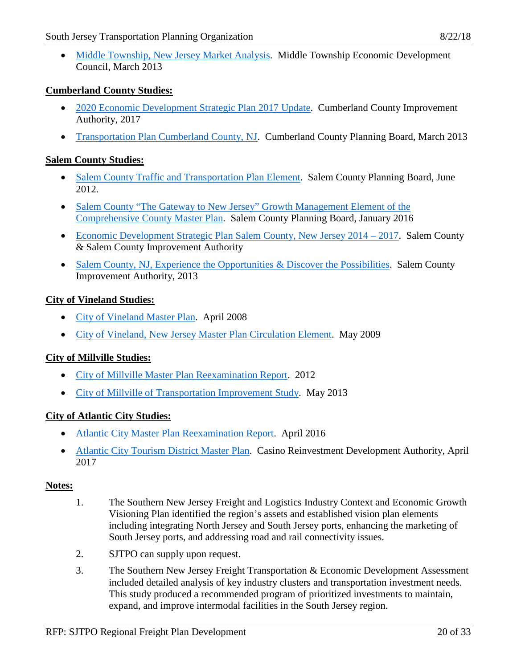• Middle Township, [New Jersey Market Analysis.](http://mteconomicdevelopment.com/wp-content/uploads/2013/05/Middle-Township-Market-Study-Full-Doc.pdf) Middle Township Economic Development Council, March 2013

# **Cumberland County Studies:**

- [2020 Economic Development Strategic Plan 2017 Update.](http://www.ccia-net.com/wp-content/uploads/2017/12/Economic-Development-Strategic-Plan-Update-2017-2020.pdf) Cumberland County Improvement Authority, 2017
- [Transportation Plan Cumberland County, NJ.](http://www.co.cumberland.nj.us/filestorage/22596/24402/FINAL_revised_4-8-13.pdf) Cumberland County Planning Board, March 2013

# **Salem County Studies:**

- [Salem County Traffic and Transportation Plan Element.](https://www.sjtpo.org/wp-content/uploads/2016/06/FY12_SalemCountyTransportationPlan.pdf) Salem County Planning Board, June 2012.
- Salem County "The Gateway to New Jersey" Growth Management Element of the [Comprehensive County Master Plan.](https://www.salemcountynj.gov/wp-content/uploads/filebase/planning_board/Master%20Plan/1-19-2016-GME-Salem-County1opt.pdf) Salem County Planning Board, January 2016
- [Economic Development Strategic Plan Salem County, New Jersey 2014 –](https://www.salemcountynj.gov/wp-content/uploads/2013/03/Salem-County-Economic-Development-Strategic-Plan-2014-2017.pdf) 2017. Salem County & Salem County Improvement Authority
- [Salem County, NJ, Experience the Opportunities & Discover the Possibilities.](https://www.salemcountynj.gov/wp-content/uploads/2014/07/EconomicResourceGuide.pdf) Salem County Improvement Authority, 2013

### **City of Vineland Studies:**

- [City of Vineland Master Plan.](http://www.vinelandcity.org/wp-content/uploads/2018/03/Master-Plan_DRAFT_April-2008_.pdf) April 2008
- [City of Vineland, New Jersey Master Plan Circulation Element.](http://www.vinelandcity.org/wp-content/uploads/2018/03/Master-Plan-Circulaton-Element-2009.pdf) May 2009

# **City of Millville Studies:**

- [City of Millville Master Plan Reexamination Report.](http://www.millvillenj.gov/DocumentCenter/View/577) 2012
- [City of Millville of Transportation Improvement Study.](https://www.sjtpo.org/wp-content/uploads/2016/06/Millville_TransportationImprovementStudy_May2013.pdf) May 2013

# **City of Atlantic City Studies:**

- [Atlantic City Master Plan Reexamination Report.](http://development.cityofatlanticcity.org/wp-content/uploads/2017/01/AC-MP-RE-EXAM-April-2016-FINAL.pdf) April 2016
- [Atlantic City Tourism District Master Plan.](https://www.njcrda.com/ac-tourism-district/master-plan/) Casino Reinvestment Development Authority, April 2017

# **Notes:**

- 1. The Southern New Jersey Freight and Logistics Industry Context and Economic Growth Visioning Plan identified the region's assets and established vision plan elements including integrating North Jersey and South Jersey ports, enhancing the marketing of South Jersey ports, and addressing road and rail connectivity issues.
- 2. SJTPO can supply upon request.
- 3. The Southern New Jersey Freight Transportation & Economic Development Assessment included detailed analysis of key industry clusters and transportation investment needs. This study produced a recommended program of prioritized investments to maintain, expand, and improve intermodal facilities in the South Jersey region.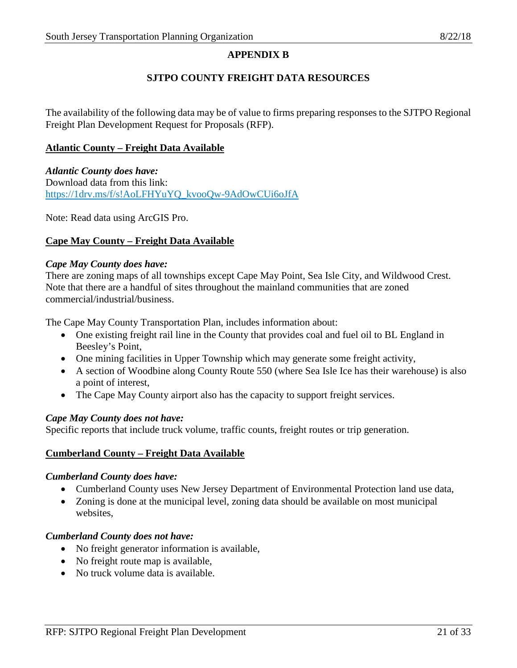# **APPENDIX B**

# **SJTPO COUNTY FREIGHT DATA RESOURCES**

The availability of the following data may be of value to firms preparing responses to the SJTPO Regional Freight Plan Development Request for Proposals (RFP).

### **Atlantic County – Freight Data Available**

*Atlantic County does have:* Download data from this link: [https://1drv.ms/f/s!AoLFHYuYQ\\_kvooQw-9AdOwCUi6oJfA](https://1drv.ms/f/s!AoLFHYuYQ_kvooQw-9AdOwCUi6oJfA)

Note: Read data using ArcGIS Pro.

# **Cape May County – Freight Data Available**

### *Cape May County does have:*

There are zoning maps of all townships except Cape May Point, Sea Isle City, and Wildwood Crest. Note that there are a handful of sites throughout the mainland communities that are zoned commercial/industrial/business.

The Cape May County Transportation Plan, includes information about:

- One existing freight rail line in the County that provides coal and fuel oil to BL England in Beesley's Point,
- One mining facilities in Upper Township which may generate some freight activity,
- A section of Woodbine along County Route 550 (where Sea Isle Ice has their warehouse) is also a point of interest,
- The Cape May County airport also has the capacity to support freight services.

# *Cape May County does not have:*

Specific reports that include truck volume, traffic counts, freight routes or trip generation.

#### **Cumberland County – Freight Data Available**

#### *Cumberland County does have:*

- Cumberland County uses New Jersey Department of Environmental Protection land use data,
- Zoning is done at the municipal level, zoning data should be available on most municipal websites,

#### *Cumberland County does not have:*

- No freight generator information is available,
- No freight route map is available,
- No truck volume data is available.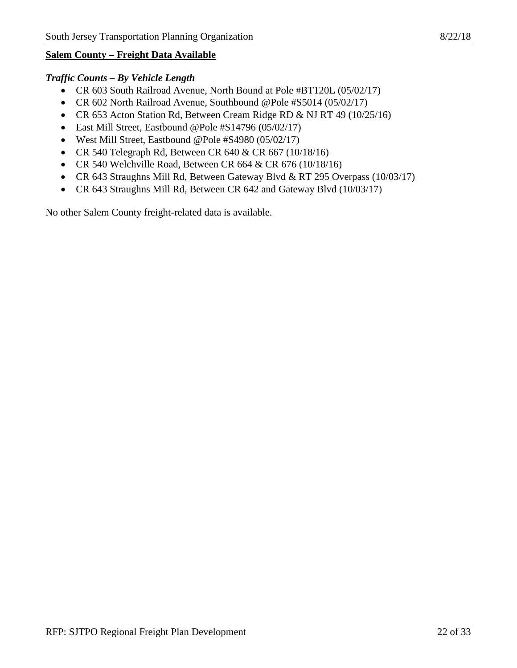### **Salem County – Freight Data Available**

#### *Traffic Counts – By Vehicle Length*

- CR 603 South Railroad Avenue, North Bound at Pole #BT120L (05/02/17)
- CR 602 North Railroad Avenue, Southbound @Pole #S5014 (05/02/17)
- CR 653 Acton Station Rd, Between Cream Ridge RD & NJ RT 49 (10/25/16)
- East Mill Street, Eastbound @Pole #S14796 (05/02/17)
- West Mill Street, Eastbound @Pole #S4980 (05/02/17)
- CR 540 Telegraph Rd, Between CR 640 & CR 667 (10/18/16)
- CR 540 Welchville Road, Between CR 664 & CR 676 (10/18/16)
- CR 643 Straughns Mill Rd, Between Gateway Blvd & RT 295 Overpass (10/03/17)
- CR 643 Straughns Mill Rd, Between CR 642 and Gateway Blvd (10/03/17)

No other Salem County freight-related data is available.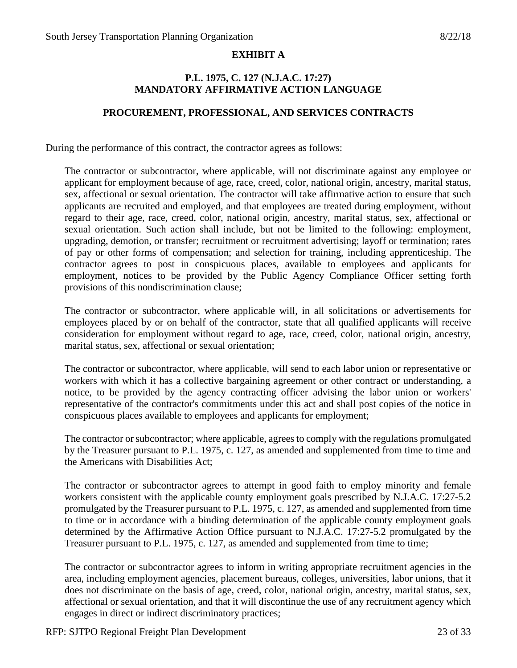# **EXHIBIT A**

### **P.L. 1975, C. 127 (N.J.A.C. 17:27) MANDATORY AFFIRMATIVE ACTION LANGUAGE**

### **PROCUREMENT, PROFESSIONAL, AND SERVICES CONTRACTS**

During the performance of this contract, the contractor agrees as follows:

The contractor or subcontractor, where applicable, will not discriminate against any employee or applicant for employment because of age, race, creed, color, national origin, ancestry, marital status, sex, affectional or sexual orientation. The contractor will take affirmative action to ensure that such applicants are recruited and employed, and that employees are treated during employment, without regard to their age, race, creed, color, national origin, ancestry, marital status, sex, affectional or sexual orientation. Such action shall include, but not be limited to the following: employment, upgrading, demotion, or transfer; recruitment or recruitment advertising; layoff or termination; rates of pay or other forms of compensation; and selection for training, including apprenticeship. The contractor agrees to post in conspicuous places, available to employees and applicants for employment, notices to be provided by the Public Agency Compliance Officer setting forth provisions of this nondiscrimination clause;

The contractor or subcontractor, where applicable will, in all solicitations or advertisements for employees placed by or on behalf of the contractor, state that all qualified applicants will receive consideration for employment without regard to age, race, creed, color, national origin, ancestry, marital status, sex, affectional or sexual orientation;

The contractor or subcontractor, where applicable, will send to each labor union or representative or workers with which it has a collective bargaining agreement or other contract or understanding, a notice, to be provided by the agency contracting officer advising the labor union or workers' representative of the contractor's commitments under this act and shall post copies of the notice in conspicuous places available to employees and applicants for employment;

The contractor or subcontractor; where applicable, agrees to comply with the regulations promulgated by the Treasurer pursuant to P.L. 1975, c. 127, as amended and supplemented from time to time and the Americans with Disabilities Act;

The contractor or subcontractor agrees to attempt in good faith to employ minority and female workers consistent with the applicable county employment goals prescribed by N.J.A.C. 17:27-5.2 promulgated by the Treasurer pursuant to P.L. 1975, c. 127, as amended and supplemented from time to time or in accordance with a binding determination of the applicable county employment goals determined by the Affirmative Action Office pursuant to N.J.A.C. 17:27-5.2 promulgated by the Treasurer pursuant to P.L. 1975, c. 127, as amended and supplemented from time to time;

The contractor or subcontractor agrees to inform in writing appropriate recruitment agencies in the area, including employment agencies, placement bureaus, colleges, universities, labor unions, that it does not discriminate on the basis of age, creed, color, national origin, ancestry, marital status, sex, affectional or sexual orientation, and that it will discontinue the use of any recruitment agency which engages in direct or indirect discriminatory practices;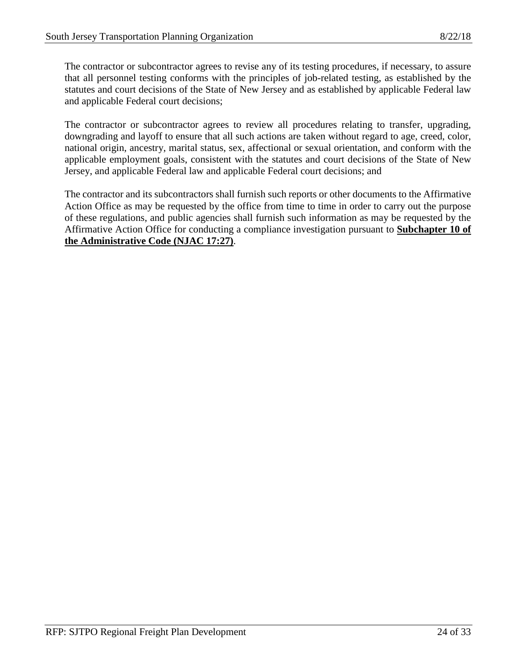The contractor or subcontractor agrees to revise any of its testing procedures, if necessary, to assure that all personnel testing conforms with the principles of job-related testing, as established by the statutes and court decisions of the State of New Jersey and as established by applicable Federal law and applicable Federal court decisions;

The contractor or subcontractor agrees to review all procedures relating to transfer, upgrading, downgrading and layoff to ensure that all such actions are taken without regard to age, creed, color, national origin, ancestry, marital status, sex, affectional or sexual orientation, and conform with the applicable employment goals, consistent with the statutes and court decisions of the State of New Jersey, and applicable Federal law and applicable Federal court decisions; and

The contractor and its subcontractors shall furnish such reports or other documents to the Affirmative Action Office as may be requested by the office from time to time in order to carry out the purpose of these regulations, and public agencies shall furnish such information as may be requested by the Affirmative Action Office for conducting a compliance investigation pursuant to **Subchapter 10 of the Administrative Code (NJAC 17:27)**.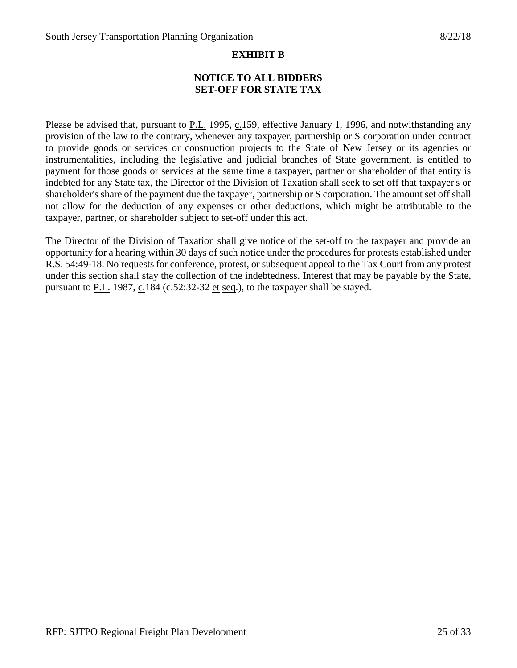# **EXHIBIT B**

# **NOTICE TO ALL BIDDERS SET-OFF FOR STATE TAX**

Please be advised that, pursuant to P.L. 1995, c.159, effective January 1, 1996, and notwithstanding any provision of the law to the contrary, whenever any taxpayer, partnership or S corporation under contract to provide goods or services or construction projects to the State of New Jersey or its agencies or instrumentalities, including the legislative and judicial branches of State government, is entitled to payment for those goods or services at the same time a taxpayer, partner or shareholder of that entity is indebted for any State tax, the Director of the Division of Taxation shall seek to set off that taxpayer's or shareholder's share of the payment due the taxpayer, partnership or S corporation. The amount set off shall not allow for the deduction of any expenses or other deductions, which might be attributable to the taxpayer, partner, or shareholder subject to set-off under this act.

The Director of the Division of Taxation shall give notice of the set-off to the taxpayer and provide an opportunity for a hearing within 30 days of such notice under the procedures for protests established under R.S. 54:49-18. No requests for conference, protest, or subsequent appeal to the Tax Court from any protest under this section shall stay the collection of the indebtedness. Interest that may be payable by the State, pursuant to  $P.L.$  1987,  $C.184$  (c.52:32-32 et seq.), to the taxpayer shall be stayed.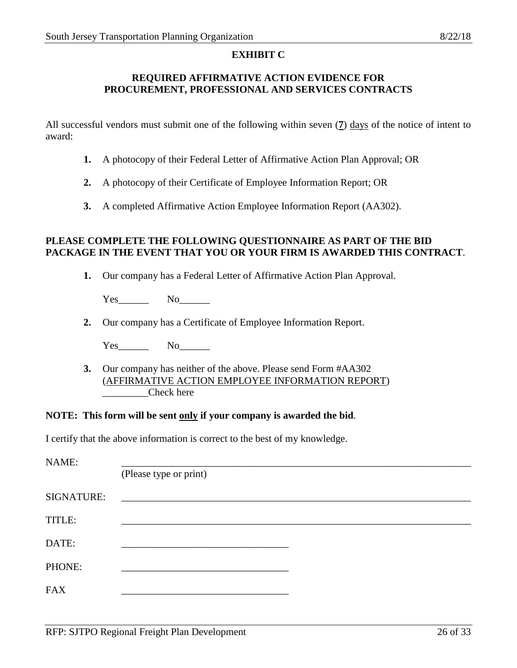#### **EXHIBIT C**

### **REQUIRED AFFIRMATIVE ACTION EVIDENCE FOR PROCUREMENT, PROFESSIONAL AND SERVICES CONTRACTS**

All successful vendors must submit one of the following within seven (**7**) days of the notice of intent to award:

- **1.** A photocopy of their Federal Letter of Affirmative Action Plan Approval; OR
- **2.** A photocopy of their Certificate of Employee Information Report; OR
- **3.** A completed Affirmative Action Employee Information Report (AA302).

### **PLEASE COMPLETE THE FOLLOWING QUESTIONNAIRE AS PART OF THE BID PACKAGE IN THE EVENT THAT YOU OR YOUR FIRM IS AWARDED THIS CONTRACT**.

**1.** Our company has a Federal Letter of Affirmative Action Plan Approval.

Yes No

**2.** Our company has a Certificate of Employee Information Report.

Yes\_\_\_\_\_\_ No\_\_\_\_\_\_

**3.** Our company has neither of the above. Please send Form #AA302 (AFFIRMATIVE ACTION EMPLOYEE INFORMATION REPORT) Check here

#### **NOTE: This form will be sent only if your company is awarded the bid**.

I certify that the above information is correct to the best of my knowledge.

| NAME:      |                        |
|------------|------------------------|
|            | (Please type or print) |
| SIGNATURE: |                        |
| TITLE:     |                        |
| DATE:      |                        |
| PHONE:     |                        |
| <b>FAX</b> |                        |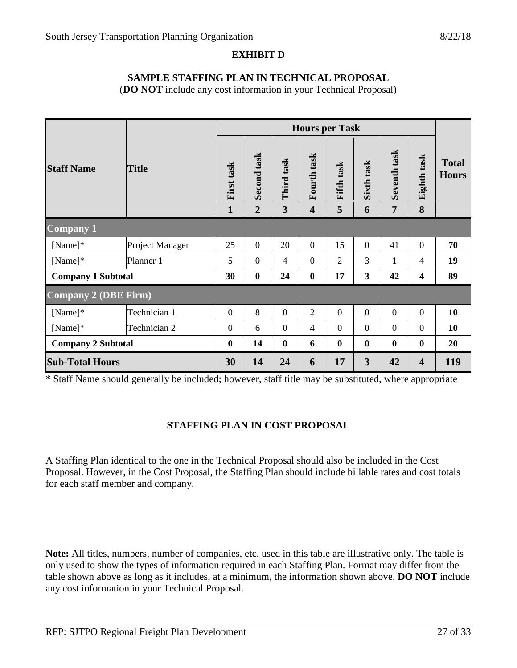# **EXHIBIT D**

### **SAMPLE STAFFING PLAN IN TECHNICAL PROPOSAL**

(**DO NOT** include any cost information in your Technical Proposal)

|                           |                 | <b>Hours per Task</b> |                |                  |                         |                  |                         |                  |                         |                              |
|---------------------------|-----------------|-----------------------|----------------|------------------|-------------------------|------------------|-------------------------|------------------|-------------------------|------------------------------|
| <b>Staff Name</b>         | <b>Title</b>    | First task            | Second task    | Third task       | Fourth task             | Fifth task       | Sixth task              | Seventh task     | Eighth task             | <b>Total</b><br><b>Hours</b> |
|                           |                 | $\mathbf{1}$          | $\overline{2}$ | 3                | $\overline{\mathbf{4}}$ | 5                | 6                       | 7                | 8                       |                              |
| <b>Company 1</b>          |                 |                       |                |                  |                         |                  |                         |                  |                         |                              |
| [Name]                    | Project Manager | 25                    | $\Omega$       | 20               | $\overline{0}$          | 15               | $\overline{0}$          | 41               | $\overline{0}$          | 70                           |
| [Name]                    | Planner 1       | 5                     | $\overline{0}$ | 4                | $\overline{0}$          | $\overline{2}$   | 3                       | 1                | 4                       | 19                           |
| <b>Company 1 Subtotal</b> |                 | 30                    | $\bf{0}$       | 24               | $\bf{0}$                | 17               | $\mathbf{3}$            | 42               | 4                       | 89                           |
| Company 2 (DBE Firm)      |                 |                       |                |                  |                         |                  |                         |                  |                         |                              |
| [Name]                    | Technician 1    | $\boldsymbol{0}$      | 8              | $\boldsymbol{0}$ | $\overline{2}$          | $\overline{0}$   | $\overline{0}$          | $\overline{0}$   | $\overline{0}$          | 10                           |
| [Name]                    | Technician 2    | $\boldsymbol{0}$      | 6              | $\overline{0}$   | $\overline{4}$          | $\overline{0}$   | $\overline{0}$          | $\theta$         | $\overline{0}$          | 10                           |
| <b>Company 2 Subtotal</b> |                 | $\boldsymbol{0}$      | 14             | $\boldsymbol{0}$ | 6                       | $\boldsymbol{0}$ | $\boldsymbol{0}$        | $\boldsymbol{0}$ | $\bf{0}$                | 20                           |
| <b>Sub-Total Hours</b>    |                 | 30                    | 14             | 24               | 6                       | 17               | $\overline{\mathbf{3}}$ | 42               | $\overline{\mathbf{4}}$ | 119                          |

\* Staff Name should generally be included; however, staff title may be substituted, where appropriate

# **STAFFING PLAN IN COST PROPOSAL**

A Staffing Plan identical to the one in the Technical Proposal should also be included in the Cost Proposal. However, in the Cost Proposal, the Staffing Plan should include billable rates and cost totals for each staff member and company.

**Note:** All titles, numbers, number of companies, etc. used in this table are illustrative only. The table is only used to show the types of information required in each Staffing Plan. Format may differ from the table shown above as long as it includes, at a minimum, the information shown above. **DO NOT** include any cost information in your Technical Proposal.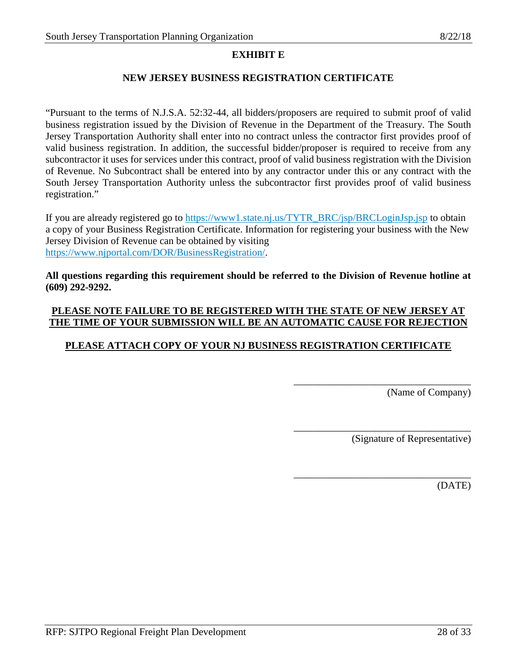# **EXHIBIT E**

### **NEW JERSEY BUSINESS REGISTRATION CERTIFICATE**

"Pursuant to the terms of N.J.S.A. 52:32-44, all bidders/proposers are required to submit proof of valid business registration issued by the Division of Revenue in the Department of the Treasury. The South Jersey Transportation Authority shall enter into no contract unless the contractor first provides proof of valid business registration. In addition, the successful bidder/proposer is required to receive from any subcontractor it uses for services under this contract, proof of valid business registration with the Division of Revenue. No Subcontract shall be entered into by any contractor under this or any contract with the South Jersey Transportation Authority unless the subcontractor first provides proof of valid business registration."

If you are already registered go to [https://www1.state.nj.us/TYTR\\_BRC/jsp/BRCLoginJsp.jsp](https://www1.state.nj.us/TYTR_BRC/jsp/BRCLoginJsp.jsp) to obtain a copy of your Business Registration Certificate. Information for registering your business with the New Jersey Division of Revenue can be obtained by visiting [https://www.njportal.com/DOR/BusinessRegistration/.](https://www.njportal.com/DOR/BusinessRegistration/)

**All questions regarding this requirement should be referred to the Division of Revenue hotline at (609) 292-9292.**

# **PLEASE NOTE FAILURE TO BE REGISTERED WITH THE STATE OF NEW JERSEY AT THE TIME OF YOUR SUBMISSION WILL BE AN AUTOMATIC CAUSE FOR REJECTION**

# **PLEASE ATTACH COPY OF YOUR NJ BUSINESS REGISTRATION CERTIFICATE**

(Name of Company)

(Signature of Representative)

\_\_\_\_\_\_\_\_\_\_\_\_\_\_\_\_\_\_\_\_\_\_\_\_\_\_\_\_\_\_\_\_\_\_\_

\_\_\_\_\_\_\_\_\_\_\_\_\_\_\_\_\_\_\_\_\_\_\_\_\_\_\_\_\_\_\_\_\_\_\_

\_\_\_\_\_\_\_\_\_\_\_\_\_\_\_\_\_\_\_\_\_\_\_\_\_\_\_\_\_\_\_\_\_\_\_

(DATE)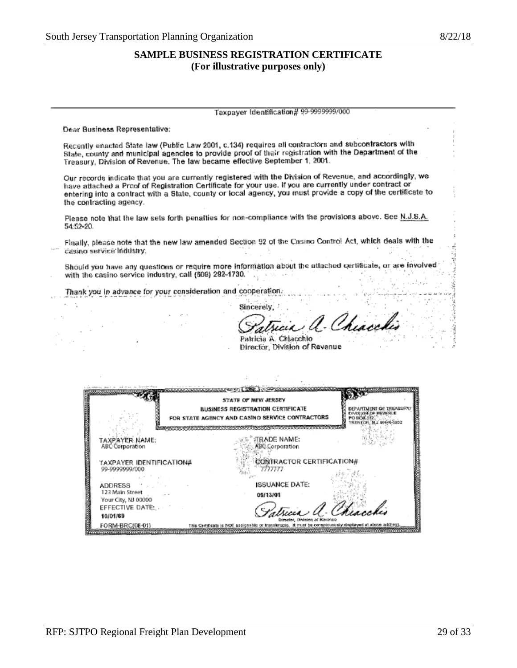# **SAMPLE BUSINESS REGISTRATION CERTIFICATE (For illustrative purposes only)**

#### Taxpayer Identification# 99-9999999/000

Dear Business Representative:

Recently enacted State law (Public Law 2001, c.134) requires all contractors and subcontractors with State, county and municipal agencies to provide proof of their registration with the Department of the Treasury, Division of Revenue, The law became effective September 1, 2001.

Our records indicate that you are currently registered with the Division of Revenue, and accordingly, we have attached a Proof of Registration Certificate for your use. If you are currently under contract or entering into a contract with a State, county or local agency, you must provide a copy of the certificate to the contracting agency.

Please note that the law sets forth penatties for non-compliance with the provisions above. See N.J.S.A. 54:52-20.

Finally, please note that the new law amended Section 92 of the Casino Control Act, which deals with the casino service industry.

Should you have any questions or require more information about the attached certificate, or are involved with the casino service industry, call (609) 292-1730. Automatic Service

Thank you in advance for your consideration and cooperation.

Sincerely, Chiacobio

Patricia A. Chiacchio Director, Division of Revenue

|                                                   | STATE OF NEW JERSEY<br><b>BUSINESS REGISTRATION CERTIFICATE</b><br>FOR STATE AGENCY AND CASINO SERVICE CONTRACTORS | FOR THE DRESS |
|---------------------------------------------------|--------------------------------------------------------------------------------------------------------------------|---------------|
| TAXPAYER NAME:<br><b>ABC Corporation</b>          | <b>JEADE NAME:</b><br><b>ABC Corporation</b>                                                                       |               |
| TAXPAYER IDENTIFICATION#<br>99-9999999/000        | <b>CONTRACTOR CERTIFICATION#</b><br>דדדללו                                                                         |               |
| ADDRESS<br>123 Main Street<br>Your City, NJ 00000 | <b>ISSUANCE DATE:</b><br>09/13/01                                                                                  |               |
| EFFECTIVE DATE:<br>10/01/69                       | Satraia a. Chiacchio                                                                                               |               |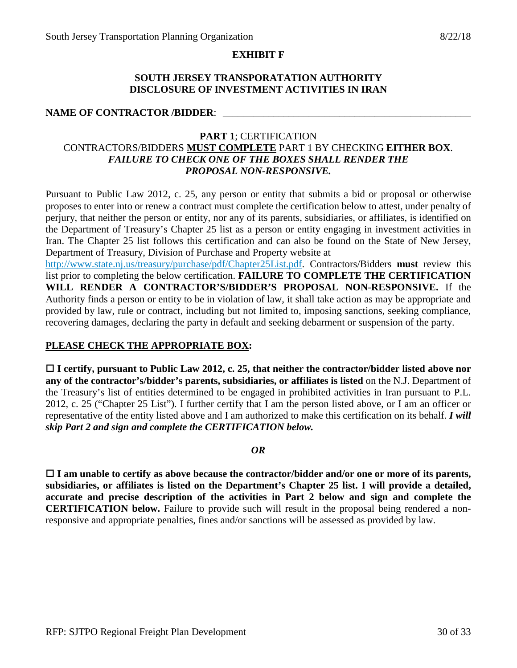#### **EXHIBIT F**

#### **SOUTH JERSEY TRANSPORATATION AUTHORITY DISCLOSURE OF INVESTMENT ACTIVITIES IN IRAN**

### NAME OF CONTRACTOR */BIDDER*:

### **PART 1**; CERTIFICATION

### CONTRACTORS/BIDDERS **MUST COMPLETE** PART 1 BY CHECKING **EITHER BOX**. *FAILURE TO CHECK ONE OF THE BOXES SHALL RENDER THE PROPOSAL NON-RESPONSIVE.*

Pursuant to Public Law 2012, c. 25, any person or entity that submits a bid or proposal or otherwise proposes to enter into or renew a contract must complete the certification below to attest, under penalty of perjury, that neither the person or entity, nor any of its parents, subsidiaries, or affiliates, is identified on the Department of Treasury's Chapter 25 list as a person or entity engaging in investment activities in Iran. The Chapter 25 list follows this certification and can also be found on the State of New Jersey, Department of Treasury, Division of Purchase and Property website at

[http://www.state.nj.us/treasury/purchase/pdf/Chapter25List.pdf.](http://www.state.nj.us/treasury/purchase/pdf/Chapter25List.pdf) Contractors/Bidders **must** review this list prior to completing the below certification. **FAILURE TO COMPLETE THE CERTIFICATION WILL RENDER A CONTRACTOR'S/BIDDER'S PROPOSAL NON**-**RESPONSIVE.** If the Authority finds a person or entity to be in violation of law, it shall take action as may be appropriate and provided by law, rule or contract, including but not limited to, imposing sanctions, seeking compliance, recovering damages, declaring the party in default and seeking debarment or suspension of the party.

### **PLEASE CHECK THE APPROPRIATE BOX:**

 **I certify, pursuant to Public Law 2012, c. 25, that neither the contractor/bidder listed above nor any of the contractor's/bidder's parents, subsidiaries, or affiliates is listed** on the N.J. Department of the Treasury's list of entities determined to be engaged in prohibited activities in Iran pursuant to P.L. 2012, c. 25 ("Chapter 25 List"). I further certify that I am the person listed above, or I am an officer or representative of the entity listed above and I am authorized to make this certification on its behalf. *I will skip Part 2 and sign and complete the CERTIFICATION below.* 

#### *OR*

 **I am unable to certify as above because the contractor/bidder and/or one or more of its parents, subsidiaries, or affiliates is listed on the Department's Chapter 25 list. I will provide a detailed, accurate and precise description of the activities in Part 2 below and sign and complete the CERTIFICATION below.** Failure to provide such will result in the proposal being rendered a nonresponsive and appropriate penalties, fines and/or sanctions will be assessed as provided by law.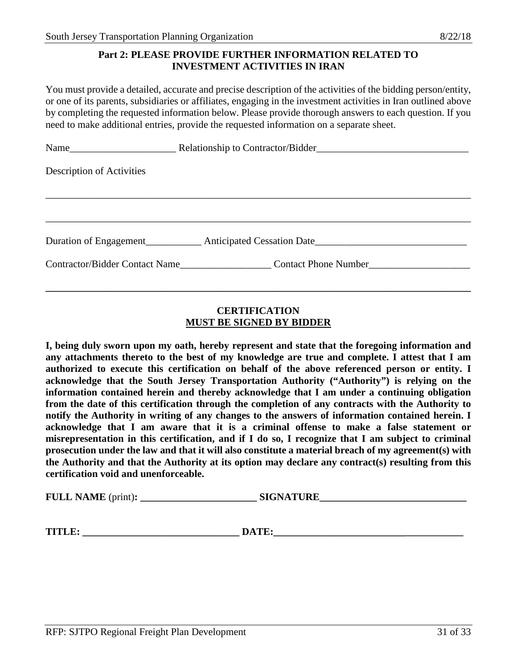#### **Part 2: PLEASE PROVIDE FURTHER INFORMATION RELATED TO INVESTMENT ACTIVITIES IN IRAN**

You must provide a detailed, accurate and precise description of the activities of the bidding person/entity, or one of its parents, subsidiaries or affiliates, engaging in the investment activities in Iran outlined above by completing the requested information below. Please provide thorough answers to each question. If you need to make additional entries, provide the requested information on a separate sheet.

| Description of Activities |  |
|---------------------------|--|
|                           |  |
|                           |  |
|                           |  |
|                           |  |

# **CERTIFICATION MUST BE SIGNED BY BIDDER**

**\_\_\_\_\_\_\_\_\_\_\_\_\_\_\_\_\_\_\_\_\_\_\_\_\_\_\_\_\_\_\_\_\_\_\_\_\_\_\_\_\_\_\_\_\_\_\_\_\_\_\_\_\_\_\_\_\_\_\_\_\_\_\_\_\_\_\_\_\_\_\_\_\_\_\_\_\_\_\_\_\_\_\_\_**

**I, being duly sworn upon my oath, hereby represent and state that the foregoing information and any attachments thereto to the best of my knowledge are true and complete. I attest that I am authorized to execute this certification on behalf of the above referenced person or entity. I acknowledge that the South Jersey Transportation Authority ("Authority") is relying on the information contained herein and thereby acknowledge that I am under a continuing obligation from the date of this certification through the completion of any contracts with the Authority to notify the Authority in writing of any changes to the answers of information contained herein. I acknowledge that I am aware that it is a criminal offense to make a false statement or misrepresentation in this certification, and if I do so, I recognize that I am subject to criminal prosecution under the law and that it will also constitute a material breach of my agreement(s) with the Authority and that the Authority at its option may declare any contract(s) resulting from this certification void and unenforceable.** 

**FULL NAME** (print): **SIGNATURE** 

**TITLE: \_\_\_\_\_\_\_\_\_\_\_\_\_\_\_\_\_\_\_\_\_\_\_\_\_\_\_\_\_\_\_ DATE:\_\_\_\_\_\_\_\_\_\_\_\_\_\_\_\_\_\_\_\_\_\_\_\_\_\_\_\_\_\_\_\_\_\_\_\_\_\_**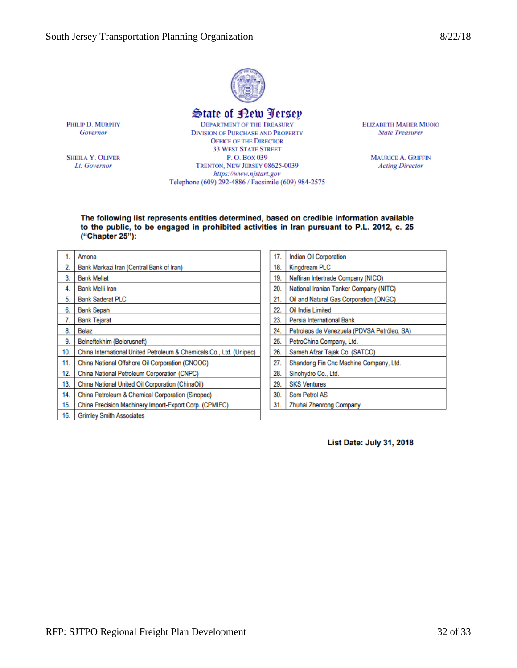

# State of New Jersey

PHILIP D. MURPHY Governor

**SHEILA Y. OLIVER** Lt. Governor

**DEPARTMENT OF THE TREASURY DIVISION OF PURCHASE AND PROPERTY OFFICE OF THE DIRECTOR 33 WEST STATE STREET** P.O. Box 039 TRENTON, NEW JERSEY 08625-0039 https://www.njstart.gov Telephone (609) 292-4886 / Facsimile (609) 984-2575

**ELIZABETH MAHER MUOIO State Treasurer** 

> **MAURICE A. GRIFFIN Acting Director**

#### The following list represents entities determined, based on credible information available to the public, to be engaged in prohibited activities in Iran pursuant to P.L. 2012, c. 25 ("Chapter 25"):

| 1.  | Amona                                                               |
|-----|---------------------------------------------------------------------|
| 2.  | Bank Markazi Iran (Central Bank of Iran)                            |
| 3.  | <b>Bank Mellat</b>                                                  |
| 4.  | <b>Bank Melli Iran</b>                                              |
| 5.  | <b>Bank Saderat PLC</b>                                             |
| 6.  | <b>Bank Sepah</b>                                                   |
| 7.  | <b>Bank Tejarat</b>                                                 |
| 8.  | Belaz                                                               |
| 9.  | Belneftekhim (Belorusneft)                                          |
| 10. | China International United Petroleum & Chemicals Co., Ltd. (Unipec) |
| 11. | China National Offshore Oil Corporation (CNOOC)                     |
| 12. | China National Petroleum Corporation (CNPC)                         |
| 13. | China National United Oil Corporation (ChinaOil)                    |
| 14. | China Petroleum & Chemical Corporation (Sinopec)                    |
| 15. | China Precision Machinery Import-Export Corp. (CPMIEC)              |
| 16. | <b>Grimley Smith Associates</b>                                     |

| 17. | Indian Oil Corporation                      |
|-----|---------------------------------------------|
| 18. | Kingdream PLC                               |
| 19. | Naftiran Intertrade Company (NICO)          |
| 20. | National Iranian Tanker Company (NITC)      |
| 21. | Oil and Natural Gas Corporation (ONGC)      |
| 22. | Oil India Limited                           |
| 23. | Persia International Bank                   |
| 24. | Petroleos de Venezuela (PDVSA Petróleo, SA) |
| 25. | PetroChina Company, Ltd.                    |
| 26. | Sameh Afzar Tajak Co. (SATCO)               |
| 27. | Shandong Fin Cnc Machine Company, Ltd.      |
| 28. | Sinohydro Co., Ltd.                         |
| 29. | <b>SKS Ventures</b>                         |
| 30. | Som Petrol AS                               |
| 31. | Zhuhai Zhenrong Company                     |

List Date: July 31, 2018